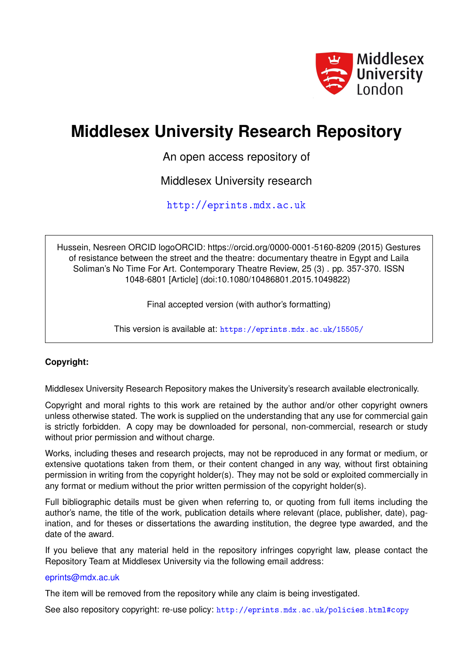

# **Middlesex University Research Repository**

An open access repository of

Middlesex University research

<http://eprints.mdx.ac.uk>

Hussein, Nesreen ORCID logoORCID: https://orcid.org/0000-0001-5160-8209 (2015) Gestures of resistance between the street and the theatre: documentary theatre in Egypt and Laila Soliman's No Time For Art. Contemporary Theatre Review, 25 (3) . pp. 357-370. ISSN 1048-6801 [Article] (doi:10.1080/10486801.2015.1049822)

Final accepted version (with author's formatting)

This version is available at: <https://eprints.mdx.ac.uk/15505/>

# **Copyright:**

Middlesex University Research Repository makes the University's research available electronically.

Copyright and moral rights to this work are retained by the author and/or other copyright owners unless otherwise stated. The work is supplied on the understanding that any use for commercial gain is strictly forbidden. A copy may be downloaded for personal, non-commercial, research or study without prior permission and without charge.

Works, including theses and research projects, may not be reproduced in any format or medium, or extensive quotations taken from them, or their content changed in any way, without first obtaining permission in writing from the copyright holder(s). They may not be sold or exploited commercially in any format or medium without the prior written permission of the copyright holder(s).

Full bibliographic details must be given when referring to, or quoting from full items including the author's name, the title of the work, publication details where relevant (place, publisher, date), pagination, and for theses or dissertations the awarding institution, the degree type awarded, and the date of the award.

If you believe that any material held in the repository infringes copyright law, please contact the Repository Team at Middlesex University via the following email address:

## [eprints@mdx.ac.uk](mailto:eprints@mdx.ac.uk)

The item will be removed from the repository while any claim is being investigated.

See also repository copyright: re-use policy: <http://eprints.mdx.ac.uk/policies.html#copy>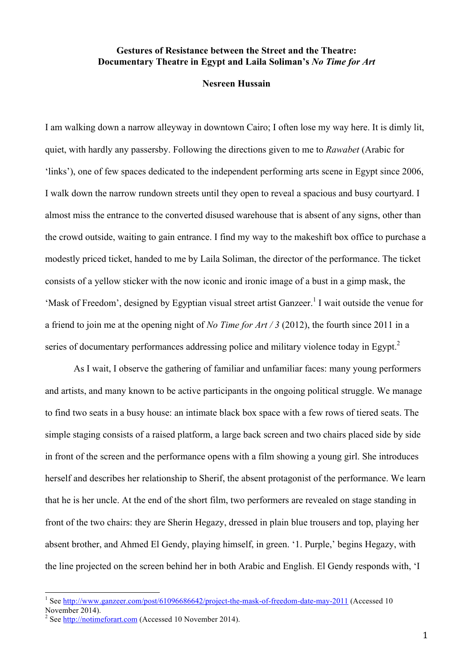# **Gestures of Resistance between the Street and the Theatre: Documentary Theatre in Egypt and Laila Soliman's** *No Time for Art*

# **Nesreen Hussain**

I am walking down a narrow alleyway in downtown Cairo; I often lose my way here. It is dimly lit, quiet, with hardly any passersby. Following the directions given to me to *Rawabet* (Arabic for 'links'), one of few spaces dedicated to the independent performing arts scene in Egypt since 2006, I walk down the narrow rundown streets until they open to reveal a spacious and busy courtyard. I almost miss the entrance to the converted disused warehouse that is absent of any signs, other than the crowd outside, waiting to gain entrance. I find my way to the makeshift box office to purchase a modestly priced ticket, handed to me by Laila Soliman, the director of the performance. The ticket consists of a yellow sticker with the now iconic and ironic image of a bust in a gimp mask, the 'Mask of Freedom', designed by Egyptian visual street artist Ganzeer.<sup>1</sup> I wait outside the venue for a friend to join me at the opening night of *No Time for Art / 3* (2012), the fourth since 2011 in a series of documentary performances addressing police and military violence today in Egypt.<sup>2</sup>

As I wait, I observe the gathering of familiar and unfamiliar faces: many young performers and artists, and many known to be active participants in the ongoing political struggle. We manage to find two seats in a busy house: an intimate black box space with a few rows of tiered seats. The simple staging consists of a raised platform, a large back screen and two chairs placed side by side in front of the screen and the performance opens with a film showing a young girl. She introduces herself and describes her relationship to Sherif, the absent protagonist of the performance. We learn that he is her uncle. At the end of the short film, two performers are revealed on stage standing in front of the two chairs: they are Sherin Hegazy, dressed in plain blue trousers and top, playing her absent brother, and Ahmed El Gendy, playing himself, in green. '1. Purple,' begins Hegazy, with the line projected on the screen behind her in both Arabic and English. El Gendy responds with, 'I

<sup>&</sup>lt;sup>1</sup> See http://www.ganzeer.com/post/61096686642/project-the-mask-of-freedom-date-may-2011 (Accessed 10 November 2014).

<sup>&</sup>lt;sup>2</sup> See http://notimeforart.com (Accessed 10 November 2014).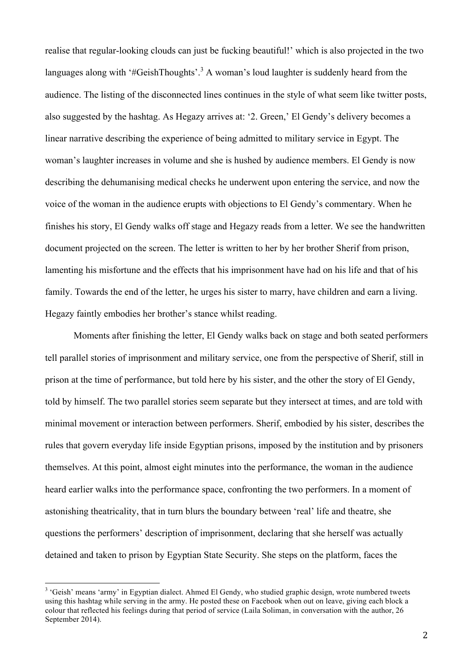realise that regular-looking clouds can just be fucking beautiful!' which is also projected in the two languages along with '#GeishThoughts'.<sup>3</sup> A woman's loud laughter is suddenly heard from the audience. The listing of the disconnected lines continues in the style of what seem like twitter posts, also suggested by the hashtag. As Hegazy arrives at: '2. Green,' El Gendy's delivery becomes a linear narrative describing the experience of being admitted to military service in Egypt. The woman's laughter increases in volume and she is hushed by audience members. El Gendy is now describing the dehumanising medical checks he underwent upon entering the service, and now the voice of the woman in the audience erupts with objections to El Gendy's commentary. When he finishes his story, El Gendy walks off stage and Hegazy reads from a letter. We see the handwritten document projected on the screen. The letter is written to her by her brother Sherif from prison, lamenting his misfortune and the effects that his imprisonment have had on his life and that of his family. Towards the end of the letter, he urges his sister to marry, have children and earn a living. Hegazy faintly embodies her brother's stance whilst reading.

Moments after finishing the letter, El Gendy walks back on stage and both seated performers tell parallel stories of imprisonment and military service, one from the perspective of Sherif, still in prison at the time of performance, but told here by his sister, and the other the story of El Gendy, told by himself. The two parallel stories seem separate but they intersect at times, and are told with minimal movement or interaction between performers. Sherif, embodied by his sister, describes the rules that govern everyday life inside Egyptian prisons, imposed by the institution and by prisoners themselves. At this point, almost eight minutes into the performance, the woman in the audience heard earlier walks into the performance space, confronting the two performers. In a moment of astonishing theatricality, that in turn blurs the boundary between 'real' life and theatre, she questions the performers' description of imprisonment, declaring that she herself was actually detained and taken to prison by Egyptian State Security. She steps on the platform, faces the

<sup>&</sup>lt;sup>3</sup> 'Geish' means 'army' in Egyptian dialect. Ahmed El Gendy, who studied graphic design, wrote numbered tweets using this hashtag while serving in the army. He posted these on Facebook when out on leave, giving each block a colour that reflected his feelings during that period of service (Laila Soliman, in conversation with the author, 26 September 2014).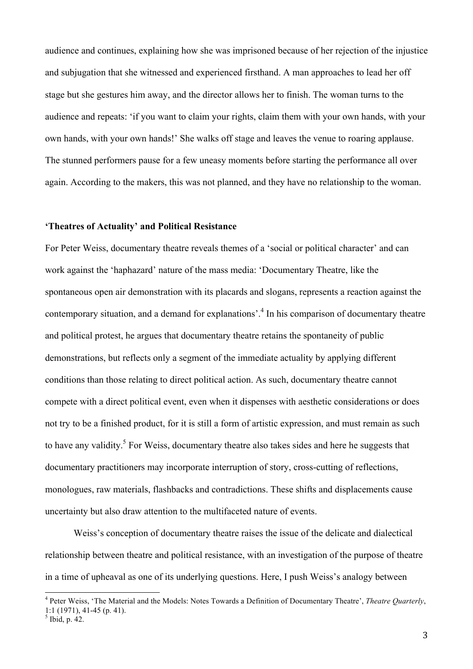audience and continues, explaining how she was imprisoned because of her rejection of the injustice and subjugation that she witnessed and experienced firsthand. A man approaches to lead her off stage but she gestures him away, and the director allows her to finish. The woman turns to the audience and repeats: 'if you want to claim your rights, claim them with your own hands, with your own hands, with your own hands!' She walks off stage and leaves the venue to roaring applause. The stunned performers pause for a few uneasy moments before starting the performance all over again. According to the makers, this was not planned, and they have no relationship to the woman.

## **'Theatres of Actuality' and Political Resistance**

For Peter Weiss, documentary theatre reveals themes of a 'social or political character' and can work against the 'haphazard' nature of the mass media: 'Documentary Theatre, like the spontaneous open air demonstration with its placards and slogans, represents a reaction against the contemporary situation, and a demand for explanations<sup>4</sup>. In his comparison of documentary theatre and political protest, he argues that documentary theatre retains the spontaneity of public demonstrations, but reflects only a segment of the immediate actuality by applying different conditions than those relating to direct political action. As such, documentary theatre cannot compete with a direct political event, even when it dispenses with aesthetic considerations or does not try to be a finished product, for it is still a form of artistic expression, and must remain as such to have any validity.<sup>5</sup> For Weiss, documentary theatre also takes sides and here he suggests that documentary practitioners may incorporate interruption of story, cross-cutting of reflections, monologues, raw materials, flashbacks and contradictions. These shifts and displacements cause uncertainty but also draw attention to the multifaceted nature of events.

Weiss's conception of documentary theatre raises the issue of the delicate and dialectical relationship between theatre and political resistance, with an investigation of the purpose of theatre in a time of upheaval as one of its underlying questions. Here, I push Weiss's analogy between

 <sup>4</sup> Peter Weiss, 'The Material and the Models: Notes Towards a Definition of Documentary Theatre', *Theatre Quarterly*, 1:1 (1971), 41-45 (p. 41).

 $<sup>5</sup>$  Ibid, p. 42.</sup>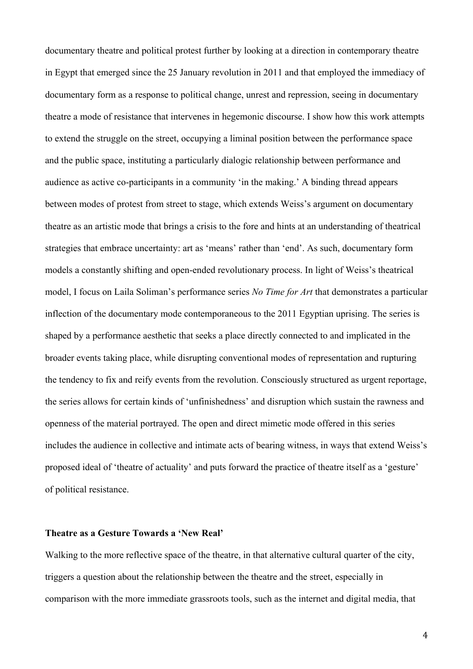documentary theatre and political protest further by looking at a direction in contemporary theatre in Egypt that emerged since the 25 January revolution in 2011 and that employed the immediacy of documentary form as a response to political change, unrest and repression, seeing in documentary theatre a mode of resistance that intervenes in hegemonic discourse. I show how this work attempts to extend the struggle on the street, occupying a liminal position between the performance space and the public space, instituting a particularly dialogic relationship between performance and audience as active co-participants in a community 'in the making.' A binding thread appears between modes of protest from street to stage, which extends Weiss's argument on documentary theatre as an artistic mode that brings a crisis to the fore and hints at an understanding of theatrical strategies that embrace uncertainty: art as 'means' rather than 'end'. As such, documentary form models a constantly shifting and open-ended revolutionary process. In light of Weiss's theatrical model, I focus on Laila Soliman's performance series *No Time for Art* that demonstrates a particular inflection of the documentary mode contemporaneous to the 2011 Egyptian uprising. The series is shaped by a performance aesthetic that seeks a place directly connected to and implicated in the broader events taking place, while disrupting conventional modes of representation and rupturing the tendency to fix and reify events from the revolution. Consciously structured as urgent reportage, the series allows for certain kinds of 'unfinishedness' and disruption which sustain the rawness and openness of the material portrayed. The open and direct mimetic mode offered in this series includes the audience in collective and intimate acts of bearing witness, in ways that extend Weiss's proposed ideal of 'theatre of actuality' and puts forward the practice of theatre itself as a 'gesture' of political resistance.

#### **Theatre as a Gesture Towards a 'New Real'**

Walking to the more reflective space of the theatre, in that alternative cultural quarter of the city, triggers a question about the relationship between the theatre and the street, especially in comparison with the more immediate grassroots tools, such as the internet and digital media, that

4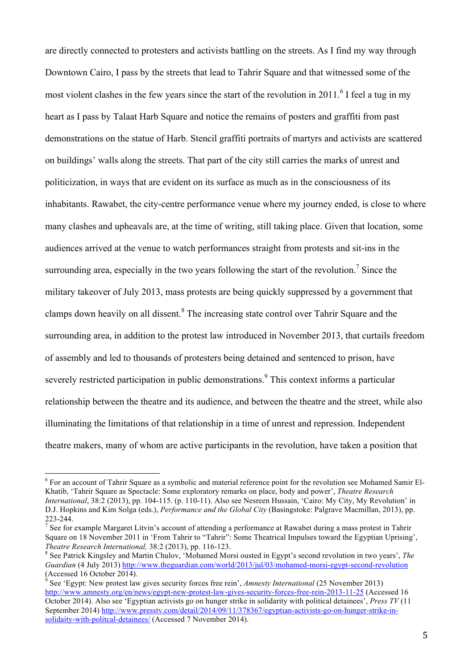are directly connected to protesters and activists battling on the streets. As I find my way through Downtown Cairo, I pass by the streets that lead to Tahrir Square and that witnessed some of the most violent clashes in the few years since the start of the revolution in 2011.<sup>6</sup> I feel a tug in my heart as I pass by Talaat Harb Square and notice the remains of posters and graffiti from past demonstrations on the statue of Harb. Stencil graffiti portraits of martyrs and activists are scattered on buildings' walls along the streets. That part of the city still carries the marks of unrest and politicization, in ways that are evident on its surface as much as in the consciousness of its inhabitants. Rawabet, the city-centre performance venue where my journey ended, is close to where many clashes and upheavals are, at the time of writing, still taking place. Given that location, some audiences arrived at the venue to watch performances straight from protests and sit-ins in the surrounding area, especially in the two years following the start of the revolution.<sup>7</sup> Since the military takeover of July 2013, mass protests are being quickly suppressed by a government that clamps down heavily on all dissent.<sup>8</sup> The increasing state control over Tahrir Square and the surrounding area, in addition to the protest law introduced in November 2013, that curtails freedom of assembly and led to thousands of protesters being detained and sentenced to prison, have severely restricted participation in public demonstrations.<sup>9</sup> This context informs a particular relationship between the theatre and its audience, and between the theatre and the street, while also illuminating the limitations of that relationship in a time of unrest and repression. Independent theatre makers, many of whom are active participants in the revolution, have taken a position that

<sup>&</sup>lt;sup>6</sup> For an account of Tahrir Square as a symbolic and material reference point for the revolution see Mohamed Samir El-Khatib, 'Tahrir Square as Spectacle: Some exploratory remarks on place, body and power', *Theatre Research International*, 38:2 (2013), pp. 104-115. (p. 110-11). Also see Nesreen Hussain, 'Cairo: My City, My Revolution' in D.J. Hopkins and Kim Solga (eds.), *Performance and the Global City* (Basingstoke: Palgrave Macmillan, 2013), pp. 223-244. 7

 $\frac{7}{1}$  See for example Margaret Litvin's account of attending a performance at Rawabet during a mass protest in Tahrir Square on 18 November 2011 in 'From Tahrir to "Tahrir": Some Theatrical Impulses toward the Egyptian Uprising', *Theatre Research International,* 38:2 (2013), pp. 116-123. <sup>8</sup>

See Patrick Kingsley and Martin Chulov, 'Mohamed Morsi ousted in Egypt's second revolution in two years', *The Guardian* (4 July 2013) http://www.theguardian.com/world/2013/jul/03/mohamed-morsi-egypt-second-revolution (Accessed 16 October 2014).

<sup>9</sup> See 'Egypt: New protest law gives security forces free rein', *Amnesty International* (25 November 2013) http://www.amnesty.org/en/news/egypt-new-protest-law-gives-security-forces-free-rein-2013-11-25 (Accessed 16 October 2014). Also see 'Egyptian activists go on hunger strike in solidarity with political detainees', *Press TV* (11 September 2014) http://www.presstv.com/detail/2014/09/11/378367/egyptian-activists-go-on-hunger-strike-insolidaity-with-politcal-detainees/ (Accessed 7 November 2014).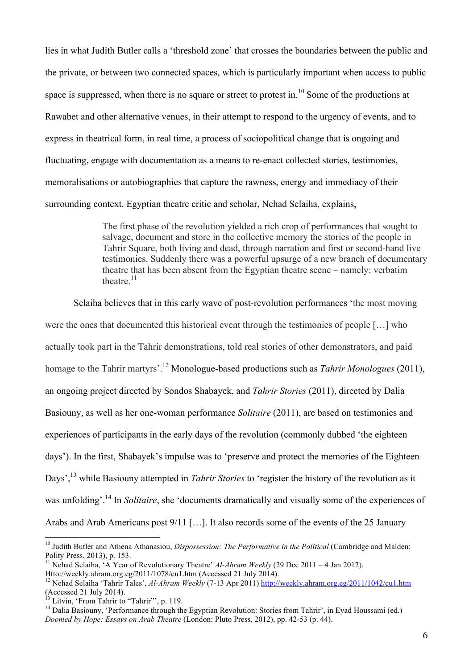lies in what Judith Butler calls a 'threshold zone' that crosses the boundaries between the public and the private, or between two connected spaces, which is particularly important when access to public space is suppressed, when there is no square or street to protest in.<sup>10</sup> Some of the productions at Rawabet and other alternative venues, in their attempt to respond to the urgency of events, and to express in theatrical form, in real time, a process of sociopolitical change that is ongoing and fluctuating, engage with documentation as a means to re-enact collected stories, testimonies, memoralisations or autobiographies that capture the rawness, energy and immediacy of their surrounding context. Egyptian theatre critic and scholar, Nehad Selaiha, explains,

> The first phase of the revolution yielded a rich crop of performances that sought to salvage, document and store in the collective memory the stories of the people in Tahrir Square, both living and dead, through narration and first or second-hand live testimonies. Suddenly there was a powerful upsurge of a new branch of documentary theatre that has been absent from the Egyptian theatre scene – namely: verbatim theatre $11$

Selaiha believes that in this early wave of post-revolution performances 'the most moving were the ones that documented this historical event through the testimonies of people […] who actually took part in the Tahrir demonstrations, told real stories of other demonstrators, and paid homage to the Tahrir martyrs'.12 Monologue-based productions such as *Tahrir Monologues* (2011), an ongoing project directed by Sondos Shabayek, and *Tahrir Stories* (2011), directed by Dalia Basiouny, as well as her one-woman performance *Solitaire* (2011), are based on testimonies and experiences of participants in the early days of the revolution (commonly dubbed 'the eighteen days'). In the first, Shabayek's impulse was to 'preserve and protect the memories of the Eighteen Days',<sup>13</sup> while Basiouny attempted in *Tahrir Stories* to 'register the history of the revolution as it was unfolding'.14 In *Solitaire*, she 'documents dramatically and visually some of the experiences of Arabs and Arab Americans post 9/11 […]. It also records some of the events of the 25 January

<sup>&</sup>lt;sup>10</sup> Judith Butler and Athena Athanasiou, *Dispossession: The Performative in the Political* (Cambridge and Malden: Polity Press, 2013), p. 153.

<sup>11</sup> Nehad Selaiha, 'A Year of Revolutionary Theatre' *Al-Ahram Weekly* (29 Dec 2011 – 4 Jan 2012). Htto://weekly.ahram.org.eg/2011/1078/cu1.htm (Accessed 21 July 2014).

<sup>&</sup>lt;sup>12</sup> Nehad Selaiha 'Tahrir Tales', *Al-Ahram Weekly* (7-13 Apr 2011) <u>http://weekly.ahram.org.eg/2011/1042/cu1.htm</u> (Accessed 21 July 2014).<br>
<sup>13</sup> Litvin, 'From Tahrir to "Tahrir"', p. 119.

<sup>&</sup>lt;sup>14</sup> Dalia Basiouny, 'Performance through the Egyptian Revolution: Stories from Tahrir', in Eyad Houssami (ed.) *Doomed by Hope: Essays on Arab Theatre* (London: Pluto Press, 2012), pp. 42-53 (p. 44).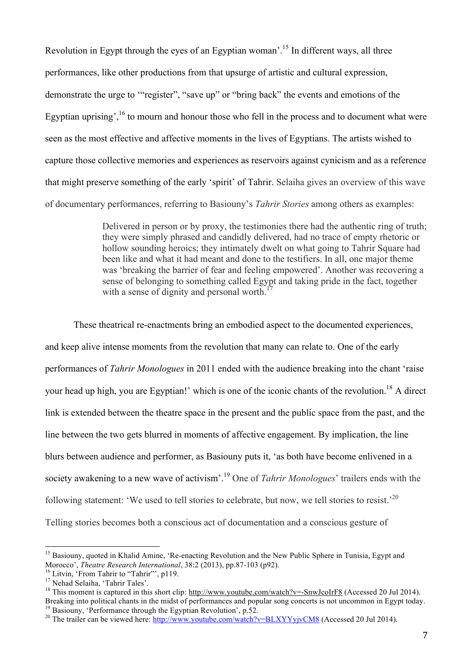Revolution in Egypt through the eyes of an Egyptian woman'.15 In different ways, all three performances, like other productions from that upsurge of artistic and cultural expression, demonstrate the urge to '"register", "save up" or "bring back" the events and emotions of the Egyptian uprising',  $16$  to mourn and honour those who fell in the process and to document what were seen as the most effective and affective moments in the lives of Egyptians. The artists wished to capture those collective memories and experiences as reservoirs against cynicism and as a reference that might preserve something of the early 'spirit' of Tahrir. Selaiha gives an overview of this wave of documentary performances, referring to Basiouny's *Tahrir Stories* among others as examples:

> Delivered in person or by proxy, the testimonies there had the authentic ring of truth; they were simply phrased and candidly delivered, had no trace of empty rhetoric or hollow sounding heroics; they intimately dwelt on what going to Tahrir Square had been like and what it had meant and done to the testifiers. In all, one major theme was 'breaking the barrier of fear and feeling empowered'. Another was recovering a sense of belonging to something called Egypt and taking pride in the fact, together with a sense of dignity and personal worth.

These theatrical re-enactments bring an embodied aspect to the documented experiences, and keep alive intense moments from the revolution that many can relate to. One of the early performances of *Tahrir Monologues* in 2011 ended with the audience breaking into the chant 'raise your head up high, you are Egyptian!' which is one of the iconic chants of the revolution.<sup>18</sup> A direct link is extended between the theatre space in the present and the public space from the past, and the line between the two gets blurred in moments of affective engagement. By implication, the line blurs between audience and performer, as Basiouny puts it, 'as both have become enlivened in a society awakening to a new wave of activism'.<sup>19</sup> One of *Tahrir Monologues*' trailers ends with the following statement: 'We used to tell stories to celebrate, but now, we tell stories to resist.'20 Telling stories becomes both a conscious act of documentation and a conscious gesture of

<sup>&</sup>lt;sup>15</sup> Basiouny, quoted in Khalid Amine, 'Re-enacting Revolution and the New Public Sphere in Tunisia, Egypt and Morocco', *Theatre Research International*, 38:2 (2013), pp.87-103 (p92).<br><sup>16</sup> Litvin, 'From Tahrir to "Tahrir"', p119.<br><sup>17</sup> Nehad Selaiha, 'Tahrir Tales'.

<sup>&</sup>lt;sup>18</sup> This moment is captured in this short clip: http://www.youtube.com/watch?v=-SnwJcoIrF8 (Accessed 20 Jul 2014).<br>Breaking into political chants in the midst of performances and popular song concerts is not uncommon in

<sup>&</sup>lt;sup>19</sup> Basiouny, 'Performance through the Egyptian Revolution', p.52.<br><sup>20</sup> The trailer can be viewed here: http://www.youtube.com/watch?v=BLXYYyjvCM8 (Accessed 20 Jul 2014).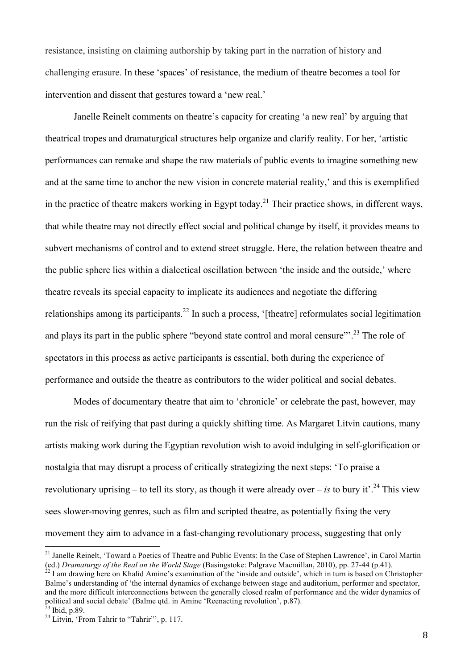resistance, insisting on claiming authorship by taking part in the narration of history and challenging erasure. In these 'spaces' of resistance, the medium of theatre becomes a tool for intervention and dissent that gestures toward a 'new real.'

Janelle Reinelt comments on theatre's capacity for creating 'a new real' by arguing that theatrical tropes and dramaturgical structures help organize and clarify reality. For her, 'artistic performances can remake and shape the raw materials of public events to imagine something new and at the same time to anchor the new vision in concrete material reality,' and this is exemplified in the practice of theatre makers working in Egypt today.<sup>21</sup> Their practice shows, in different ways, that while theatre may not directly effect social and political change by itself, it provides means to subvert mechanisms of control and to extend street struggle. Here, the relation between theatre and the public sphere lies within a dialectical oscillation between 'the inside and the outside,' where theatre reveals its special capacity to implicate its audiences and negotiate the differing relationships among its participants.<sup>22</sup> In such a process, '[theatre] reformulates social legitimation and plays its part in the public sphere "beyond state control and moral censure"<sup>23</sup>. The role of spectators in this process as active participants is essential, both during the experience of performance and outside the theatre as contributors to the wider political and social debates.

Modes of documentary theatre that aim to 'chronicle' or celebrate the past, however, may run the risk of reifying that past during a quickly shifting time. As Margaret Litvin cautions, many artists making work during the Egyptian revolution wish to avoid indulging in self-glorification or nostalgia that may disrupt a process of critically strategizing the next steps: 'To praise a revolutionary uprising – to tell its story, as though it were already over – *is* to bury it'.<sup>24</sup> This view sees slower-moving genres, such as film and scripted theatre, as potentially fixing the very movement they aim to advance in a fast-changing revolutionary process, suggesting that only

<sup>&</sup>lt;sup>21</sup> Janelle Reinelt, 'Toward a Poetics of Theatre and Public Events: In the Case of Stephen Lawrence', in Carol Martin (ed.) *Dramaturgy of the Real on the World Stage* (Basingstoke: Palgrave Macmillan, 2010), pp. 27-44

 $^{22}$  I am drawing here on Khalid Amine's examination of the 'inside and outside', which in turn is based on Christopher Balme's understanding of 'the internal dynamics of exchange between stage and auditorium, performer and spectator, and the more difficult interconnections between the generally closed realm of performance and the wider dynamics of political and social debate' (Balme qtd. in Amine 'Reenacting revolution', p.87). 23 Ibid, p.89.

<sup>&</sup>lt;sup>24</sup> Litvin, 'From Tahrir to "Tahrir"', p. 117.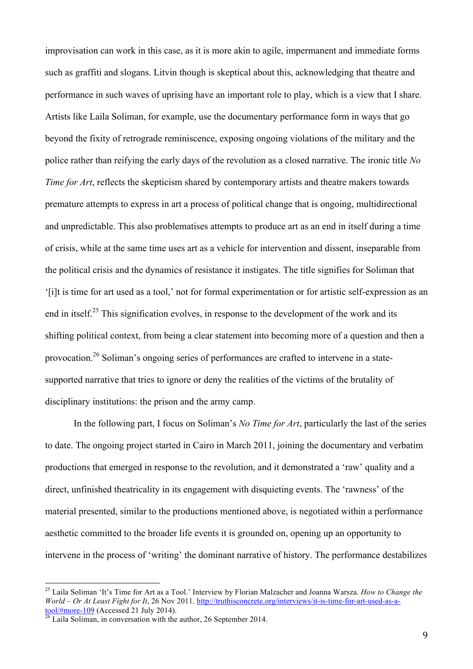improvisation can work in this case, as it is more akin to agile, impermanent and immediate forms such as graffiti and slogans. Litvin though is skeptical about this, acknowledging that theatre and performance in such waves of uprising have an important role to play, which is a view that I share. Artists like Laila Soliman, for example, use the documentary performance form in ways that go beyond the fixity of retrograde reminiscence, exposing ongoing violations of the military and the police rather than reifying the early days of the revolution as a closed narrative. The ironic title *No Time for Art*, reflects the skepticism shared by contemporary artists and theatre makers towards premature attempts to express in art a process of political change that is ongoing, multidirectional and unpredictable. This also problematises attempts to produce art as an end in itself during a time of crisis, while at the same time uses art as a vehicle for intervention and dissent, inseparable from the political crisis and the dynamics of resistance it instigates. The title signifies for Soliman that '[i]t is time for art used as a tool,' not for formal experimentation or for artistic self-expression as an end in itself.<sup>25</sup> This signification evolves, in response to the development of the work and its shifting political context, from being a clear statement into becoming more of a question and then a provocation.26 Soliman's ongoing series of performances are crafted to intervene in a statesupported narrative that tries to ignore or deny the realities of the victims of the brutality of disciplinary institutions: the prison and the army camp.

In the following part, I focus on Soliman's *No Time for Art*, particularly the last of the series to date. The ongoing project started in Cairo in March 2011, joining the documentary and verbatim productions that emerged in response to the revolution, and it demonstrated a 'raw' quality and a direct, unfinished theatricality in its engagement with disquieting events. The 'rawness' of the material presented, similar to the productions mentioned above, is negotiated within a performance aesthetic committed to the broader life events it is grounded on, opening up an opportunity to intervene in the process of 'writing' the dominant narrative of history. The performance destabilizes

 25 Laila Soliman 'It's Time for Art as a Tool.' Interview by Florian Malzacher and Joanna Warsza. *How to Change the World – Or At Least Fight for It*, 26 Nov 2011. http://truthisconcrete.org/interviews/it-is-time-for-art-used-as-atool/#more-109 (Accessed 21 July 2014). 26 Laila Soliman, in conversation with the author, 26 September 2014.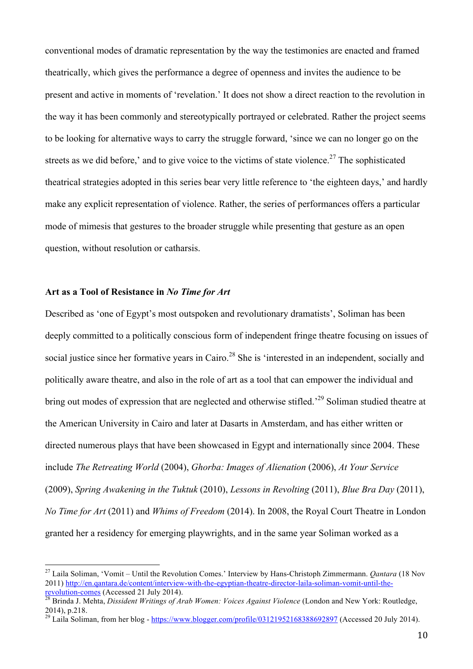conventional modes of dramatic representation by the way the testimonies are enacted and framed theatrically, which gives the performance a degree of openness and invites the audience to be present and active in moments of 'revelation.' It does not show a direct reaction to the revolution in the way it has been commonly and stereotypically portrayed or celebrated. Rather the project seems to be looking for alternative ways to carry the struggle forward, 'since we can no longer go on the streets as we did before,' and to give voice to the victims of state violence.<sup>27</sup> The sophisticated theatrical strategies adopted in this series bear very little reference to 'the eighteen days,' and hardly make any explicit representation of violence. Rather, the series of performances offers a particular mode of mimesis that gestures to the broader struggle while presenting that gesture as an open question, without resolution or catharsis.

# **Art as a Tool of Resistance in** *No Time for Art*

Described as 'one of Egypt's most outspoken and revolutionary dramatists', Soliman has been deeply committed to a politically conscious form of independent fringe theatre focusing on issues of social justice since her formative years in Cairo.<sup>28</sup> She is 'interested in an independent, socially and politically aware theatre, and also in the role of art as a tool that can empower the individual and bring out modes of expression that are neglected and otherwise stifled.<sup>29</sup> Soliman studied theatre at the American University in Cairo and later at Dasarts in Amsterdam, and has either written or directed numerous plays that have been showcased in Egypt and internationally since 2004. These include *The Retreating World* (2004), *Ghorba: Images of Alienation* (2006), *At Your Service* (2009), *Spring Awakening in the Tuktuk* (2010), *Lessons in Revolting* (2011), *Blue Bra Day* (2011), *No Time for Art* (2011) and *Whims of Freedom* (2014). In 2008, the Royal Court Theatre in London granted her a residency for emerging playwrights, and in the same year Soliman worked as a

 27 Laila Soliman, 'Vomit – Until the Revolution Comes.' Interview by Hans-Christoph Zimmermann. *Qantara* (18 Nov 2011) http://en.qantara.de/content/interview-with-the-egyptian-theatre-director-laila-soliman-vomit-until-the-

revolution-comes (Accessed 21 July 2014). 28 Brinda J. Mehta, *Dissident Writings of Arab Women: Voices Against Violence* (London and New York: Routledge, 2014), p.218.

<sup>&</sup>lt;sup>29</sup> Laila Soliman, from her blog - https://www.blogger.com/profile/03121952168388692897 (Accessed 20 July 2014).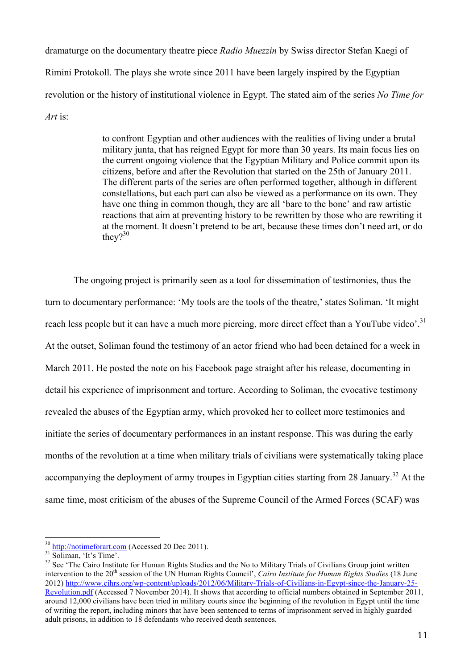dramaturge on the documentary theatre piece *Radio Muezzin* by Swiss director Stefan Kaegi of Rimini Protokoll. The plays she wrote since 2011 have been largely inspired by the Egyptian revolution or the history of institutional violence in Egypt. The stated aim of the series *No Time for Art* is:

> to confront Egyptian and other audiences with the realities of living under a brutal military junta, that has reigned Egypt for more than 30 years. Its main focus lies on the current ongoing violence that the Egyptian Military and Police commit upon its citizens, before and after the Revolution that started on the 25th of January 2011. The different parts of the series are often performed together, although in different constellations, but each part can also be viewed as a performance on its own. They have one thing in common though, they are all 'bare to the bone' and raw artistic reactions that aim at preventing history to be rewritten by those who are rewriting it at the moment. It doesn't pretend to be art, because these times don't need art, or do they $?^{30}$

The ongoing project is primarily seen as a tool for dissemination of testimonies, thus the turn to documentary performance: 'My tools are the tools of the theatre,' states Soliman. 'It might reach less people but it can have a much more piercing, more direct effect than a YouTube video'.<sup>31</sup> At the outset, Soliman found the testimony of an actor friend who had been detained for a week in March 2011. He posted the note on his Facebook page straight after his release, documenting in detail his experience of imprisonment and torture. According to Soliman, the evocative testimony revealed the abuses of the Egyptian army, which provoked her to collect more testimonies and initiate the series of documentary performances in an instant response. This was during the early months of the revolution at a time when military trials of civilians were systematically taking place accompanying the deployment of army troupes in Egyptian cities starting from 28 January.<sup>32</sup> At the same time, most criticism of the abuses of the Supreme Council of the Armed Forces (SCAF) was

 $\frac{30 \text{ http://notimeforart.com}}{31}$  (Accessed 20 Dec 2011).<br> $\frac{31 \text{ Soliman}}{22}$  See 'The Cairo Institute for Human Rights Studies and the No to Military Trials of Civilians Group joint written intervention to the 20<sup>th</sup> session of the UN Human Rights Council', *Cairo Institute for Human Rights Studies* (18 June 2012) http://www.cihrs.org/wp-content/uploads/2012/06/Military-Trials-of-Civilians-in-Egypt-since-the-January-25- Revolution.pdf (Accessed 7 November 2014). It shows that according to official numbers obtained in September 2011, around 12,000 civilians have been tried in military courts since the beginning of the revolution in Egypt until the time of writing the report, including minors that have been sentenced to terms of imprisonment served in highly guarded adult prisons, in addition to 18 defendants who received death sentences.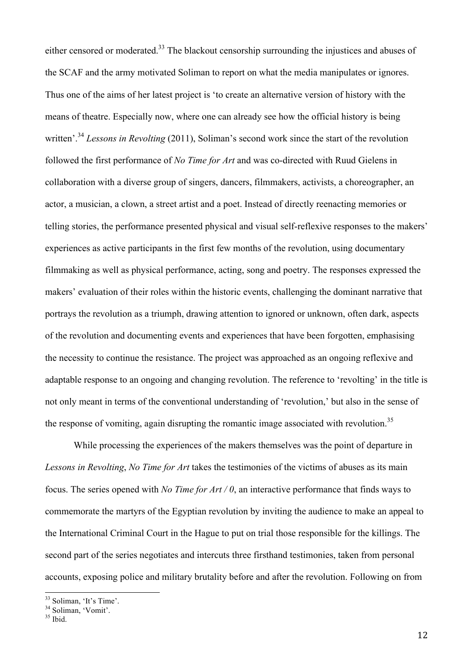either censored or moderated.<sup>33</sup> The blackout censorship surrounding the injustices and abuses of the SCAF and the army motivated Soliman to report on what the media manipulates or ignores. Thus one of the aims of her latest project is 'to create an alternative version of history with the means of theatre. Especially now, where one can already see how the official history is being written<sup>', 34</sup> *Lessons in Revolting* (2011). Soliman's second work since the start of the revolution followed the first performance of *No Time for Art* and was co-directed with Ruud Gielens in collaboration with a diverse group of singers, dancers, filmmakers, activists, a choreographer, an actor, a musician, a clown, a street artist and a poet. Instead of directly reenacting memories or telling stories, the performance presented physical and visual self-reflexive responses to the makers' experiences as active participants in the first few months of the revolution, using documentary filmmaking as well as physical performance, acting, song and poetry. The responses expressed the makers' evaluation of their roles within the historic events, challenging the dominant narrative that portrays the revolution as a triumph, drawing attention to ignored or unknown, often dark, aspects of the revolution and documenting events and experiences that have been forgotten, emphasising the necessity to continue the resistance. The project was approached as an ongoing reflexive and adaptable response to an ongoing and changing revolution. The reference to 'revolting' in the title is not only meant in terms of the conventional understanding of 'revolution,' but also in the sense of the response of vomiting, again disrupting the romantic image associated with revolution.<sup>35</sup>

While processing the experiences of the makers themselves was the point of departure in *Lessons in Revolting*, *No Time for Art* takes the testimonies of the victims of abuses as its main focus. The series opened with *No Time for Art / 0*, an interactive performance that finds ways to commemorate the martyrs of the Egyptian revolution by inviting the audience to make an appeal to the International Criminal Court in the Hague to put on trial those responsible for the killings. The second part of the series negotiates and intercuts three firsthand testimonies, taken from personal accounts, exposing police and military brutality before and after the revolution. Following on from

 $\frac{33}{34}$  Soliman, 'It's Time'.<br> $\frac{34}{35}$  Soliman, 'Vomit'.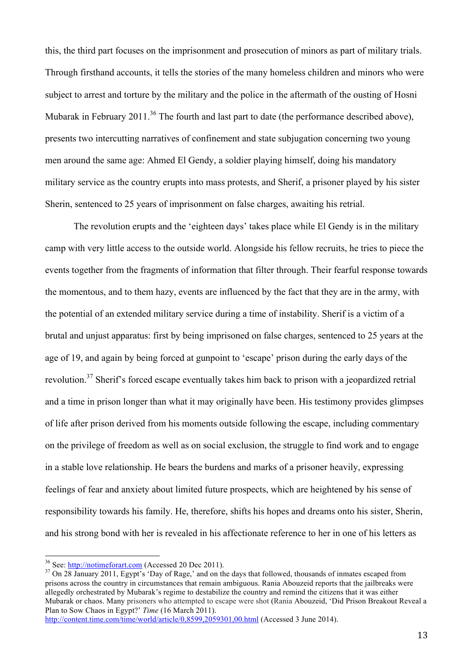this, the third part focuses on the imprisonment and prosecution of minors as part of military trials. Through firsthand accounts, it tells the stories of the many homeless children and minors who were subject to arrest and torture by the military and the police in the aftermath of the ousting of Hosni Mubarak in February 2011.<sup>36</sup> The fourth and last part to date (the performance described above), presents two intercutting narratives of confinement and state subjugation concerning two young men around the same age: Ahmed El Gendy, a soldier playing himself, doing his mandatory military service as the country erupts into mass protests, and Sherif, a prisoner played by his sister Sherin, sentenced to 25 years of imprisonment on false charges, awaiting his retrial.

The revolution erupts and the 'eighteen days' takes place while El Gendy is in the military camp with very little access to the outside world. Alongside his fellow recruits, he tries to piece the events together from the fragments of information that filter through. Their fearful response towards the momentous, and to them hazy, events are influenced by the fact that they are in the army, with the potential of an extended military service during a time of instability. Sherif is a victim of a brutal and unjust apparatus: first by being imprisoned on false charges, sentenced to 25 years at the age of 19, and again by being forced at gunpoint to 'escape' prison during the early days of the revolution.<sup>37</sup> Sherif's forced escape eventually takes him back to prison with a jeopardized retrial and a time in prison longer than what it may originally have been. His testimony provides glimpses of life after prison derived from his moments outside following the escape, including commentary on the privilege of freedom as well as on social exclusion, the struggle to find work and to engage in a stable love relationship. He bears the burdens and marks of a prisoner heavily, expressing feelings of fear and anxiety about limited future prospects, which are heightened by his sense of responsibility towards his family. He, therefore, shifts his hopes and dreams onto his sister, Sherin, and his strong bond with her is revealed in his affectionate reference to her in one of his letters as

<sup>36</sup> See:  $\frac{http://notimeforart.com}{http://notimeforart.com}$  (Accessed 20 Dec 2011).<br><sup>37</sup> On 28 January 2011, Egypt's 'Day of Rage,' and on the days that followed, thousands of inmates escaped from prisons across the country in circumstances that remain ambiguous. Rania Abouzeid reports that the jailbreaks were allegedly orchestrated by Mubarak's regime to destabilize the country and remind the citizens that it was either Mubarak or chaos. Many prisoners who attempted to escape were shot (Rania Abouzeid, 'Did Prison Breakout Reveal a Plan to Sow Chaos in Egypt?' *Time* (16 March 2011).

http://content.time.com/time/world/article/0,8599,2059301,00.html (Accessed 3 June 2014).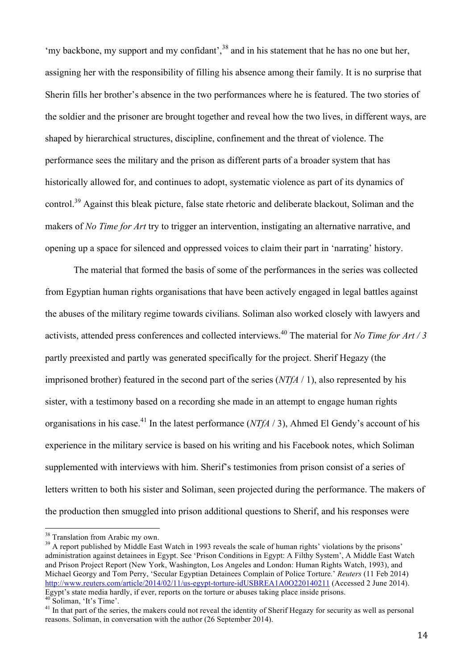'my backbone, my support and my confidant',  $38$  and in his statement that he has no one but her, assigning her with the responsibility of filling his absence among their family. It is no surprise that Sherin fills her brother's absence in the two performances where he is featured. The two stories of the soldier and the prisoner are brought together and reveal how the two lives, in different ways, are shaped by hierarchical structures, discipline, confinement and the threat of violence. The performance sees the military and the prison as different parts of a broader system that has historically allowed for, and continues to adopt, systematic violence as part of its dynamics of control.39 Against this bleak picture, false state rhetoric and deliberate blackout, Soliman and the makers of *No Time for Art* try to trigger an intervention, instigating an alternative narrative, and opening up a space for silenced and oppressed voices to claim their part in 'narrating' history.

The material that formed the basis of some of the performances in the series was collected from Egyptian human rights organisations that have been actively engaged in legal battles against the abuses of the military regime towards civilians. Soliman also worked closely with lawyers and activists, attended press conferences and collected interviews.<sup>40</sup> The material for *No Time for Art / 3* partly preexisted and partly was generated specifically for the project. Sherif Hegazy (the imprisoned brother) featured in the second part of the series (*NTfA* / 1), also represented by his sister, with a testimony based on a recording she made in an attempt to engage human rights organisations in his case.41 In the latest performance (*NTfA* / 3), Ahmed El Gendy's account of his experience in the military service is based on his writing and his Facebook notes, which Soliman supplemented with interviews with him. Sherif's testimonies from prison consist of a series of letters written to both his sister and Soliman, seen projected during the performance. The makers of the production then smuggled into prison additional questions to Sherif, and his responses were

<sup>38</sup> Translation from Arabic my own.<br><sup>39</sup> A report published by Middle East Watch in 1993 reveals the scale of human rights' violations by the prisons' administration against detainees in Egypt. See 'Prison Conditions in Egypt: A Filthy System', A Middle East Watch and Prison Project Report (New York, Washington, Los Angeles and London: Human Rights Watch, 1993), and Michael Georgy and Tom Perry, 'Secular Egyptian Detainees Complain of Police Torture.' *Reuters* (11 Feb 2014) http://www.reuters.com/article/2014/02/11/us-egypt-torture-idUSBREA1A0O220140211 (Accessed 2 June 2014).<br>Egypt's state media hardly, if ever, reports on the torture or abuses taking place inside prisons. <sup>40</sup> Soliman, 'It's Time'.<br><sup>41</sup> In that part of the series, the makers could not reveal the identity of Sherif Hegazy for security as well as personal

reasons. Soliman, in conversation with the author (26 September 2014).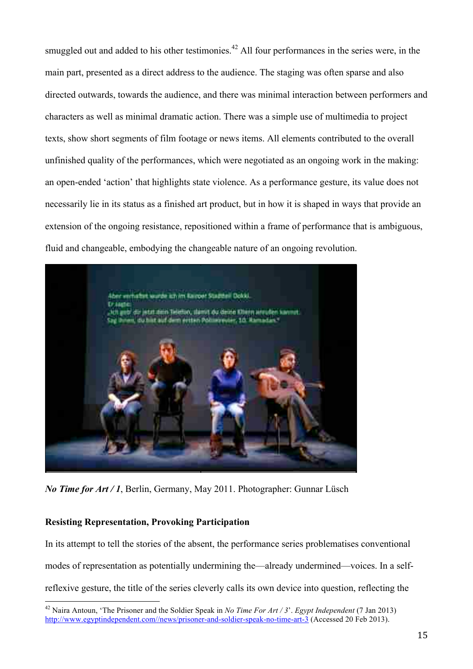smuggled out and added to his other testimonies.<sup>42</sup> All four performances in the series were, in the main part, presented as a direct address to the audience. The staging was often sparse and also directed outwards, towards the audience, and there was minimal interaction between performers and characters as well as minimal dramatic action. There was a simple use of multimedia to project texts, show short segments of film footage or news items. All elements contributed to the overall unfinished quality of the performances, which were negotiated as an ongoing work in the making: an open-ended 'action' that highlights state violence. As a performance gesture, its value does not necessarily lie in its status as a finished art product, but in how it is shaped in ways that provide an extension of the ongoing resistance, repositioned within a frame of performance that is ambiguous, fluid and changeable, embodying the changeable nature of an ongoing revolution.



*No Time for Art / 1*, Berlin, Germany, May 2011. Photographer: Gunnar Lüsch

## **Resisting Representation, Provoking Participation**

In its attempt to tell the stories of the absent, the performance series problematises conventional modes of representation as potentially undermining the—already undermined—voices. In a selfreflexive gesture, the title of the series cleverly calls its own device into question, reflecting the

 42 Naira Antoun, 'The Prisoner and the Soldier Speak in *No Time For Art / 3*'. *Egypt Independent* (7 Jan 2013) http://www.egyptindependent.com//news/prisoner-and-soldier-speak-no-time-art-3 (Accessed 20 Feb 2013).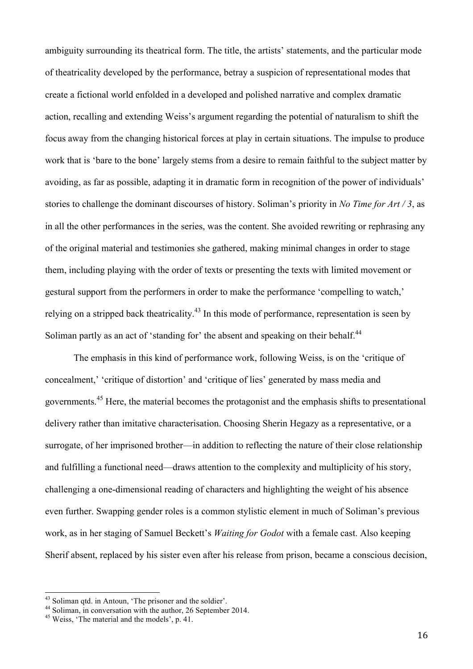ambiguity surrounding its theatrical form. The title, the artists' statements, and the particular mode of theatricality developed by the performance, betray a suspicion of representational modes that create a fictional world enfolded in a developed and polished narrative and complex dramatic action, recalling and extending Weiss's argument regarding the potential of naturalism to shift the focus away from the changing historical forces at play in certain situations. The impulse to produce work that is 'bare to the bone' largely stems from a desire to remain faithful to the subject matter by avoiding, as far as possible, adapting it in dramatic form in recognition of the power of individuals' stories to challenge the dominant discourses of history. Soliman's priority in *No Time for Art / 3*, as in all the other performances in the series, was the content. She avoided rewriting or rephrasing any of the original material and testimonies she gathered, making minimal changes in order to stage them, including playing with the order of texts or presenting the texts with limited movement or gestural support from the performers in order to make the performance 'compelling to watch,' relying on a stripped back theatricality.<sup>43</sup> In this mode of performance, representation is seen by Soliman partly as an act of 'standing for' the absent and speaking on their behalf.<sup>44</sup>

The emphasis in this kind of performance work, following Weiss, is on the 'critique of concealment,' 'critique of distortion' and 'critique of lies' generated by mass media and governments.45 Here, the material becomes the protagonist and the emphasis shifts to presentational delivery rather than imitative characterisation. Choosing Sherin Hegazy as a representative, or a surrogate, of her imprisoned brother—in addition to reflecting the nature of their close relationship and fulfilling a functional need—draws attention to the complexity and multiplicity of his story, challenging a one-dimensional reading of characters and highlighting the weight of his absence even further. Swapping gender roles is a common stylistic element in much of Soliman's previous work, as in her staging of Samuel Beckett's *Waiting for Godot* with a female cast. Also keeping Sherif absent, replaced by his sister even after his release from prison, became a conscious decision,

<sup>&</sup>lt;sup>43</sup> Soliman qtd. in Antoun, 'The prisoner and the soldier'.<br><sup>44</sup> Soliman, in conversation with the author, 26 September 2014.<br><sup>45</sup> Weiss, 'The material and the models', p. 41.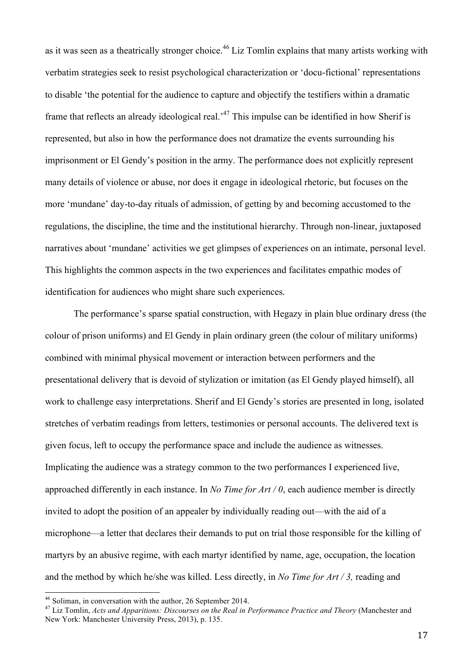as it was seen as a theatrically stronger choice.<sup>46</sup> Liz Tomlin explains that many artists working with verbatim strategies seek to resist psychological characterization or 'docu-fictional' representations to disable 'the potential for the audience to capture and objectify the testifiers within a dramatic frame that reflects an already ideological real.<sup>47</sup> This impulse can be identified in how Sherif is represented, but also in how the performance does not dramatize the events surrounding his imprisonment or El Gendy's position in the army. The performance does not explicitly represent many details of violence or abuse, nor does it engage in ideological rhetoric, but focuses on the more 'mundane' day-to-day rituals of admission, of getting by and becoming accustomed to the regulations, the discipline, the time and the institutional hierarchy. Through non-linear, juxtaposed narratives about 'mundane' activities we get glimpses of experiences on an intimate, personal level. This highlights the common aspects in the two experiences and facilitates empathic modes of identification for audiences who might share such experiences.

The performance's sparse spatial construction, with Hegazy in plain blue ordinary dress (the colour of prison uniforms) and El Gendy in plain ordinary green (the colour of military uniforms) combined with minimal physical movement or interaction between performers and the presentational delivery that is devoid of stylization or imitation (as El Gendy played himself), all work to challenge easy interpretations. Sherif and El Gendy's stories are presented in long, isolated stretches of verbatim readings from letters, testimonies or personal accounts. The delivered text is given focus, left to occupy the performance space and include the audience as witnesses. Implicating the audience was a strategy common to the two performances I experienced live, approached differently in each instance. In *No Time for Art / 0*, each audience member is directly invited to adopt the position of an appealer by individually reading out—with the aid of a microphone—a letter that declares their demands to put on trial those responsible for the killing of martyrs by an abusive regime, with each martyr identified by name, age, occupation, the location and the method by which he/she was killed. Less directly, in *No Time for Art / 3,* reading and

 46 Soliman, in conversation with the author, 26 September 2014. 47 Liz Tomlin, *Acts and Apparitions: Discourses on the Real in Performance Practice and Theory* (Manchester and New York: Manchester University Press, 2013), p. 135.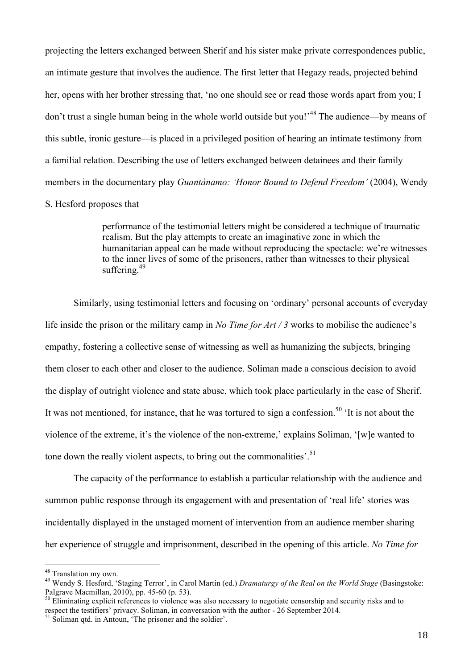projecting the letters exchanged between Sherif and his sister make private correspondences public, an intimate gesture that involves the audience. The first letter that Hegazy reads, projected behind her, opens with her brother stressing that, 'no one should see or read those words apart from you; I don't trust a single human being in the whole world outside but you!<sup>48</sup> The audience—by means of this subtle, ironic gesture—is placed in a privileged position of hearing an intimate testimony from a familial relation. Describing the use of letters exchanged between detainees and their family members in the documentary play *Guantánamo: 'Honor Bound to Defend Freedom'* (2004), Wendy

# S. Hesford proposes that

performance of the testimonial letters might be considered a technique of traumatic realism. But the play attempts to create an imaginative zone in which the humanitarian appeal can be made without reproducing the spectacle: we're witnesses to the inner lives of some of the prisoners, rather than witnesses to their physical suffering  $49$ 

Similarly, using testimonial letters and focusing on 'ordinary' personal accounts of everyday life inside the prison or the military camp in *No Time for Art / 3* works to mobilise the audience's empathy, fostering a collective sense of witnessing as well as humanizing the subjects, bringing them closer to each other and closer to the audience. Soliman made a conscious decision to avoid the display of outright violence and state abuse, which took place particularly in the case of Sherif. It was not mentioned, for instance, that he was tortured to sign a confession.<sup>50</sup>  $\cdot$ It is not about the violence of the extreme, it's the violence of the non-extreme,' explains Soliman, '[w]e wanted to tone down the really violent aspects, to bring out the commonalities'.<sup>51</sup>

The capacity of the performance to establish a particular relationship with the audience and summon public response through its engagement with and presentation of 'real life' stories was incidentally displayed in the unstaged moment of intervention from an audience member sharing her experience of struggle and imprisonment, described in the opening of this article. *No Time for* 

 48 Translation my own.

<sup>49</sup> Wendy S. Hesford, 'Staging Terror', in Carol Martin (ed.) *Dramaturgy of the Real on the World Stage* (Basingstoke: Palgrave Macmillan, 2010), pp. 45-60 (p. 53).<br><sup>50</sup> Eliminating explicit references to violence was also necessary to negotiate censorship and security risks and to

respect the testifiers' privacy. Soliman, in conversation with the author - 26 September 2014.<br><sup>51</sup> Soliman qtd. in Antoun, 'The prisoner and the soldier'.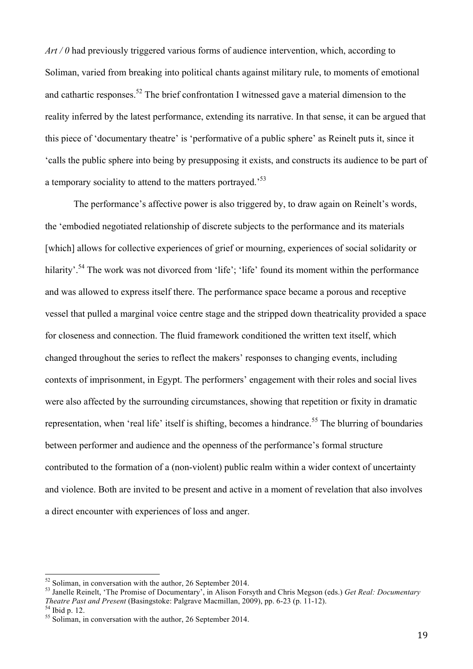*Art / 0* had previously triggered various forms of audience intervention, which, according to Soliman, varied from breaking into political chants against military rule, to moments of emotional and cathartic responses.<sup>52</sup> The brief confrontation I witnessed gave a material dimension to the reality inferred by the latest performance, extending its narrative. In that sense, it can be argued that this piece of 'documentary theatre' is 'performative of a public sphere' as Reinelt puts it, since it 'calls the public sphere into being by presupposing it exists, and constructs its audience to be part of a temporary sociality to attend to the matters portrayed.<sup>53</sup>

The performance's affective power is also triggered by, to draw again on Reinelt's words, the 'embodied negotiated relationship of discrete subjects to the performance and its materials [which] allows for collective experiences of grief or mourning, experiences of social solidarity or hilarity'.<sup>54</sup> The work was not divorced from 'life'; 'life' found its moment within the performance and was allowed to express itself there. The performance space became a porous and receptive vessel that pulled a marginal voice centre stage and the stripped down theatricality provided a space for closeness and connection. The fluid framework conditioned the written text itself, which changed throughout the series to reflect the makers' responses to changing events, including contexts of imprisonment, in Egypt. The performers' engagement with their roles and social lives were also affected by the surrounding circumstances, showing that repetition or fixity in dramatic representation, when 'real life' itself is shifting, becomes a hindrance.<sup>55</sup> The blurring of boundaries between performer and audience and the openness of the performance's formal structure contributed to the formation of a (non-violent) public realm within a wider context of uncertainty and violence. Both are invited to be present and active in a moment of revelation that also involves a direct encounter with experiences of loss and anger.

<sup>&</sup>lt;sup>52</sup> Soliman, in conversation with the author, 26 September 2014.<br><sup>53</sup> Janelle Reinelt, 'The Promise of Documentary', in Alison Forsyth and Chris Megson (eds.) *Get Real: Documentary Theatre Past and Present* (Basingstoke: Palgrave Macmillan, 2009), pp. 6-23 (p. 11-12).<sup>54</sup> Ibid p. 12.<br><sup>54</sup> Soliman, in conversation with the author, 26 September 2014.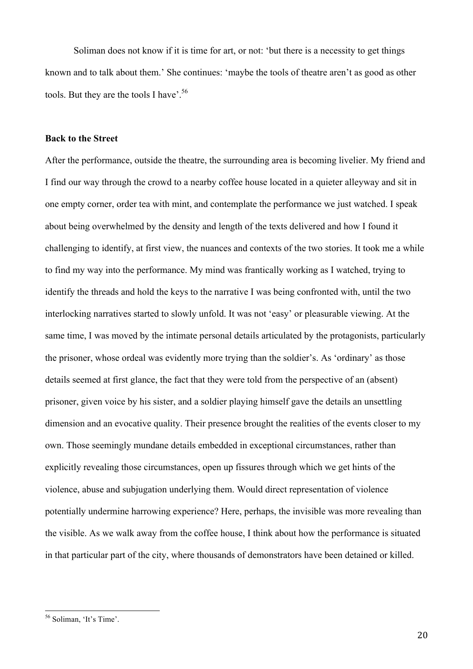Soliman does not know if it is time for art, or not: 'but there is a necessity to get things known and to talk about them.' She continues: 'maybe the tools of theatre aren't as good as other tools. But they are the tools I have'.<sup>56</sup>

## **Back to the Street**

After the performance, outside the theatre, the surrounding area is becoming livelier. My friend and I find our way through the crowd to a nearby coffee house located in a quieter alleyway and sit in one empty corner, order tea with mint, and contemplate the performance we just watched. I speak about being overwhelmed by the density and length of the texts delivered and how I found it challenging to identify, at first view, the nuances and contexts of the two stories. It took me a while to find my way into the performance. My mind was frantically working as I watched, trying to identify the threads and hold the keys to the narrative I was being confronted with, until the two interlocking narratives started to slowly unfold. It was not 'easy' or pleasurable viewing. At the same time, I was moved by the intimate personal details articulated by the protagonists, particularly the prisoner, whose ordeal was evidently more trying than the soldier's. As 'ordinary' as those details seemed at first glance, the fact that they were told from the perspective of an (absent) prisoner, given voice by his sister, and a soldier playing himself gave the details an unsettling dimension and an evocative quality. Their presence brought the realities of the events closer to my own. Those seemingly mundane details embedded in exceptional circumstances, rather than explicitly revealing those circumstances, open up fissures through which we get hints of the violence, abuse and subjugation underlying them. Would direct representation of violence potentially undermine harrowing experience? Here, perhaps, the invisible was more revealing than the visible. As we walk away from the coffee house, I think about how the performance is situated in that particular part of the city, where thousands of demonstrators have been detained or killed.

 56 Soliman, 'It's Time'.